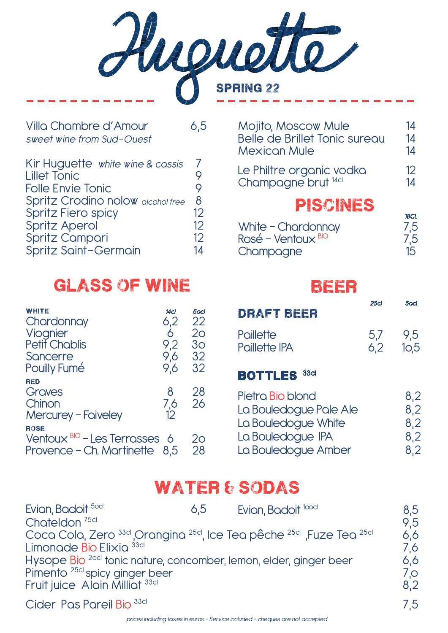Huguette

| Villa Chambre d'Amour<br>sweet wine from Sud-Ouest | 6.5 |
|----------------------------------------------------|-----|
| Kir Huguette white wine & cassis                   | 7   |
| <b>Lillet Tonic</b>                                | 9   |
| <b>Folle Envie Tonic</b>                           | 9   |
| Spritz Crodino nolow alcohol free                  | 8   |
| <b>Spritz Fiero spicy</b>                          | 12  |
| <b>Spritz Aperol</b>                               | 12  |
| <b>Spritz Campari</b>                              | 12  |
| Spritz Saint-Germain                               | 14  |

### glass of wine

| WHITE<br>Chardonnay<br>Viognier<br><b>Petit Chablis</b><br>Sancerre<br><b>Pouilly Fumé</b> | 14cl<br>6,2<br>6<br>9.2<br>9,6<br>9,6 | 5ocl<br>22<br>20<br>3 <sub>O</sub><br>32<br>32 |
|--------------------------------------------------------------------------------------------|---------------------------------------|------------------------------------------------|
| RED<br>Graves<br>Chinon<br><b>Mercurey - Faiveley</b>                                      | 8<br>7,6<br>12                        | 28<br>26                                       |
| <b>ROSE</b><br>Ventoux $BIO$ - Les Terrosses 6<br>Provence - Ch. Martinette 8,5            |                                       | 20<br>28                                       |

| <b>Mojito, Moscow Mule</b><br>Belle de Brillet Tonic sureou<br><b>Mexican Mule</b> | 14<br>14<br>14                 |
|------------------------------------------------------------------------------------|--------------------------------|
| Le Philtre organic vodka<br>Champagne brut <sup>14cl</sup>                         | 12<br>14                       |
| PISCINES                                                                           | 18CL                           |
| White - Chardonnay<br>Rosé – Ventoux <sup>BIO</sup><br>Champagne                   | 7,5<br>7,5<br>15 <sup>15</sup> |

### beer

| DRAFT BEER                                                        | 25 <sub>cl</sub> | 5ocl              |
|-------------------------------------------------------------------|------------------|-------------------|
| Paillette<br><b>Paillette IPA</b>                                 | 5.7<br>6.2       | 9,5<br>10.5       |
| <b>BOTTLES</b><br>33 <sub>cl</sub>                                |                  |                   |
| Pietra Bio blond<br>La Bouledogue Pale Ale<br>La Bouledogue White |                  | 8,2<br>8,2<br>8,2 |

| LA DOUIGAOUGLE VILLING | O,Z |
|------------------------|-----|
| La Bouledogue IPA      | 8,2 |
| La Bouledogue Amber    | 8,2 |

### water & sodas

| Evian, Badoit 50cl                                                 | 6.5 | Evian, Badoit <sup>10001</sup>                                                                                  | 8.5         |
|--------------------------------------------------------------------|-----|-----------------------------------------------------------------------------------------------------------------|-------------|
| Chateldon <sup>75cl</sup>                                          |     |                                                                                                                 | 9.5         |
|                                                                    |     | Coca Cola, Zero <sup>33d</sup> Orangina <sup>25d</sup> , Ice Tea pêche <sup>25d</sup> , Fuze Tea <sup>25d</sup> | 6.6         |
| Limonade Bio Elixia <sup>33d</sup>                                 |     |                                                                                                                 | 7,6         |
| Hysope Bio 20cl tonic nature, concomber, lemon, elder, ginger beer |     |                                                                                                                 | 6.6         |
| Pimento <sup>25cl</sup> spicy ginger beer                          |     |                                                                                                                 | $7_{\odot}$ |
| Fruit juice Alain Milliat 33cl                                     |     |                                                                                                                 | 8,2         |
|                                                                    |     |                                                                                                                 |             |

Cider Pas Pareil Bio 33cl 7,5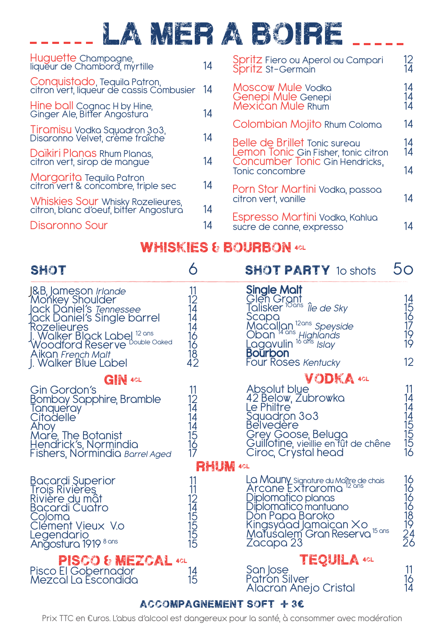## la mer a boire

| Huguette Champagne,<br>liqueur de Chambord, myrtille                        | 14  | Spritz Fiero ou Aperol ou Campari<br>Spritz St-Germain                 | 12<br>14       |
|-----------------------------------------------------------------------------|-----|------------------------------------------------------------------------|----------------|
| Conquistado, Tequila Patron,<br>citron vert, liqueur de cassis Combusier    | -14 | Moscow Mule Vodka                                                      | 14<br>14<br>14 |
| Hine ball Cognac H by Hine,<br>Ginger Ale, Bitter Angostura                 | 14  | Genepi Mule Genepi<br>Mexican Mule Rhum                                |                |
|                                                                             |     | Colombian Mojito Rhum Coloma                                           | 14             |
| Tiramisu Vodka Squadron 303,<br>Disaronno Velvet, crème fraîche             | 14  | Belle de Brillet Tonic sureou                                          |                |
| Daïkiri Planas Rhum Planas,<br>citron vert, sirop de mangue                 | 14  | Lemon Tonic Gin Fisher, tonic citron<br>Concumber Tonic Gin Hendricks, | 14<br>14       |
| Margarita Tequila Patron<br>citron vert & concombre, triple sec             | 14  | Tonic concombre<br>Porn Star Martini Vodka, passoa                     | 14             |
| Whiskies Sour Whisky Rozelieures,<br>citron, blanc d'oeuf, bitter Angostura | 14  | citron vert. vanille                                                   | 14             |
| Disaronno Sour                                                              | 14  | Espresso Martini Vodka, Kahlua<br>sucre de conne, expresso             | 14             |
|                                                                             |     |                                                                        |                |

#### WHISKIES & BOURBON 4CL

| <b>SHOT</b>                                                                                                                                                                                                                                             | 6                            | <b>SHOT PARTY</b> 10 shots                                                                                                                                                                                                                              | 50                          |
|---------------------------------------------------------------------------------------------------------------------------------------------------------------------------------------------------------------------------------------------------------|------------------------------|---------------------------------------------------------------------------------------------------------------------------------------------------------------------------------------------------------------------------------------------------------|-----------------------------|
| J&B, Jameson <i>Irlande</i><br>Monkey Shoulder<br>Jack Daniel's <i>Tennessee</i><br>Jack Daniel's Single barrel<br>Rozelieures<br>J. Walker Black Label <sup>12 ans</sup><br>Woodford Reserve Double Oaked<br>Aikan French Malt<br>J. Walker Blue Label | 11<br>121444616182           | <b>Single Malt</b><br>Glen Grant<br>Talisker <sup>10ans</sup> <i>Île de Sky</i><br>Scope<br>Macallon <sup>12ans</sup> Speyside<br>Oban <sup>14 ans</sup> Highlands<br>Lagovulin <sup>16 ans</sup> Islay<br><b>Bourbon</b><br><b>Four Roses Kentucky</b> | 141516171919<br>12          |
| <b>GIN 4CL</b><br>Gin Gordon's<br>Bombay Sapphire, Bramble<br>Tanqueray<br>Çitadelle<br>Ahoy<br>Mare, The Botanist<br>Hendrick's, Normindia<br>Fishers, Normindia Barrel Aged                                                                           | 11<br>124445167              | VODKA 4CL<br>Absolut blue<br>42 Below, Zubrowka<br>Le Philtre<br>Squadron 303<br><b>Belvedère</b><br>Grey Goose, Beluga<br>Quillotine, vieillie en fût de chêne<br>Ciroc, Crystal head                                                                  | 11<br>141455516             |
| Bacardi Superior<br>Trois Rivieres<br>Rivière du mật<br>Bacardi Cuatro<br>Coloma<br>Clément Vieux Vo<br>Legendario<br>Angostura 1919 8 ans                                                                                                              | <b>RHUM 4GL</b><br>112451515 | La Mauny signature du Maître de chais<br>Arcane Extraroma <sup>12 ans</sup><br>Diplomațico planas<br>Diplomatico mantuano<br>Don Papa Baroko<br>Kingsyaad Jamaican Xo<br>Matusalem Gran Reserva isons<br>Zacapa 23                                      | 161616181922                |
| PISCO & MEZCAL 40L<br>Pisco El Gobernador<br>Mezcal La Escondida                                                                                                                                                                                        | 14<br>15                     | <b>TEQUILA 4CL</b><br>San Jose<br><b>Patron Silver</b><br>Alacran Anejo Cristal                                                                                                                                                                         | 11<br>$\overline{16}$<br>14 |

#### ACCOMPAGNEMENT SOFT  $+ 3\epsilon$

Prix TTC en €uros. L'abus d'alcool est dangereux pour la santé, à consommer avec modération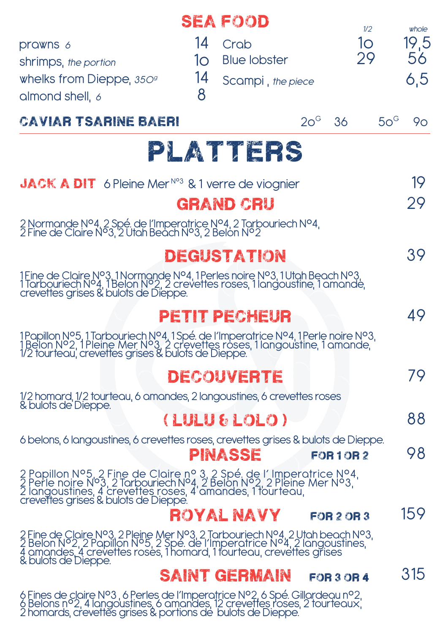|                                                                                                                                                                                                                                                       |         | <b>SEA FOOD</b>     |                 | 1/2               |              | whole |
|-------------------------------------------------------------------------------------------------------------------------------------------------------------------------------------------------------------------------------------------------------|---------|---------------------|-----------------|-------------------|--------------|-------|
| prawns 6                                                                                                                                                                                                                                              | 14      | Crab                |                 | 10                |              | 19,5  |
| shrimps, the portion                                                                                                                                                                                                                                  | 10      | <b>Blue lobster</b> |                 | 29                |              | 56    |
| whelks from Dieppe, $35O9$<br>almond shell, 6                                                                                                                                                                                                         | 14<br>8 | Scampi, the piece   |                 |                   |              | 6,5   |
| CAVIAR TSARINE BAERI                                                                                                                                                                                                                                  |         |                     | $20^{\circ}$ 36 |                   | $50^{\circ}$ | 90    |
|                                                                                                                                                                                                                                                       |         | PLATTERS            |                 |                   |              |       |
| <b>JACK A DIT</b> 6 Pleine Mer <sup>No3</sup> & 1 verre de viognier                                                                                                                                                                                   |         |                     |                 |                   |              | 19    |
|                                                                                                                                                                                                                                                       |         | <b>GRAND CRU</b>    |                 |                   |              | 29    |
| 2 Normande N°4, 2 Spé. de l'Imperatrice N°4, 2 Tarbouriech N°4, 2 Fine de Claire N°3, 2 Utah Beach N°3, 2 Belon N°2                                                                                                                                   |         |                     |                 |                   |              |       |
|                                                                                                                                                                                                                                                       |         | DEGUSTATION         |                 |                   |              | 39    |
| 1 Fine de Claire N°3, 1 Normande N°4, 1 Perles noire N°3, 1 Utah Beach N°3, 1 Tarbouriech N°4, 1 Belon N°2, 2 crevettes roses, 1 langoustine, 1 amande, crevettes grises & bulots de Dieppe.                                                          |         |                     |                 |                   |              |       |
|                                                                                                                                                                                                                                                       |         | PETIT PECHEUR       |                 |                   |              | 49    |
| 1 Papillon N°5, 1 Tarbouriech N°4, 1 Spé. de l'Imperatrice N°4, 1 Perle noire N°3, 1 Belon N°2, 1 Pleine Mer N°3, 2 crevettes roses, 1 langoustine, 1 amande,<br>1/2 tourteau, crevettes grises & bulots de Dieppe.                                   |         |                     |                 |                   |              |       |
|                                                                                                                                                                                                                                                       |         | DECOUVERTE          |                 |                   |              | 79    |
| 1/2 homard, 1/2 tourteau, 6 amandes, 2 langoustines, 6 crevettes roses<br>& bulots de'Dieppe.                                                                                                                                                         |         |                     |                 |                   |              |       |
|                                                                                                                                                                                                                                                       |         | (LULU & LOLO)       |                 |                   |              | 88    |
| 6 belons, 6 langoustines, 6 crevettes roses, crevettes grises & bulots de Dieppe.                                                                                                                                                                     |         | PINASSE             |                 | <b>FOR 1 OR 2</b> |              | 98    |
| 2 Papillon N°5, 2 Fine de Claire n° 3, 2 Spé. de l'Imperatrice N°4, 2 Perle noire N°3, 2 Tarbouriech N°4, 2 Belon N°2, 2 Pleine Mer N°3, 1<br>2 langoustines, 4 crevettes roses, 4 amandes, 1 tourteau, crevettes grises & bulots                     |         |                     |                 |                   |              |       |
|                                                                                                                                                                                                                                                       |         | ROYAL NAVY          |                 | <b>FOR 2 OR 3</b> |              | 159   |
| 2 Fine de Claire N°3, 2 Pleine Mer N°3, 2 Tarbouriech N°4, 2 Utah beach N°3, 2 Belon N°2, 2 Papillon N°5, 2 Spé. de l'Imperatrice N°4, 2 langoustines,<br>4 amandes, 4 crevettes roses, 1 homard, 1 tourteau, crevettes grises<br>& bulots de Dieppe. |         |                     |                 |                   |              |       |
|                                                                                                                                                                                                                                                       |         | SAINT GERMAIN       |                 | <b>FOR 3 OR 4</b> |              | 315   |
| 6 Fines de claire N°3, 6 Perles de l'Imperatrice N°2, 6 Spé. Gillardeau n°2, 6 Belons n°2, 4 langoustines, 6 amandes, 12 crevettes roses, 2 tourteaux, 2 homards, crevettes grises & portions de bulots de Dieppe.                                    |         |                     |                 |                   |              |       |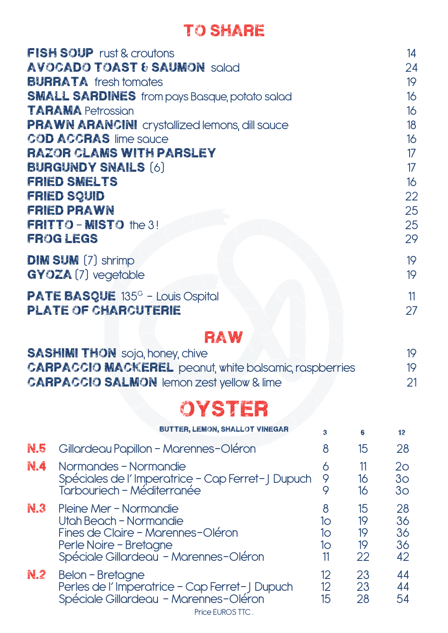### to share

|     | <b>FISH SOUP</b> rust & croutons<br><b>AVOCADO TOAST &amp; SAUMON solod</b><br><b>BURRATA</b> fresh tomotes<br><b>SMALL SARDINES</b> from pays Basque, potato salad<br><b>TARAMA Petrossion</b><br><b>PRAWN ARANCINI</b> crystallized lemons, dill sauce<br><b>COD ACCRAS lime squce</b><br><b>RAZOR CLAMS WITH PARSLEY</b><br><b>BURGUNDY SNAILS [6]</b><br><b>FRIED SMELTS</b><br><b>FRIED SQUID</b><br><b>FRIED PRAWN</b><br><b>FRITTO - MISTO the 3!</b> |                                          |                            | 14<br>24<br>19<br>16<br>16<br>18<br>16<br>17<br>17<br>16<br>22<br>25<br>25 |
|-----|--------------------------------------------------------------------------------------------------------------------------------------------------------------------------------------------------------------------------------------------------------------------------------------------------------------------------------------------------------------------------------------------------------------------------------------------------------------|------------------------------------------|----------------------------|----------------------------------------------------------------------------|
|     | <b>FROGLEGS</b>                                                                                                                                                                                                                                                                                                                                                                                                                                              |                                          |                            | 29                                                                         |
|     | <b>DIM SUM</b> (7) shrimp<br><b>GYOZA (7) vegetable</b>                                                                                                                                                                                                                                                                                                                                                                                                      |                                          |                            | 19<br>19                                                                   |
|     | <b>PATE BASQUE</b> 135 <sup>G</sup> - Louis Ospital<br><b>PLATE OF CHARCUTERIE</b>                                                                                                                                                                                                                                                                                                                                                                           |                                          |                            | 11<br>27                                                                   |
|     | RAW<br><b>SASHIMI THON</b> soja, honey, chive<br><b>CARPACCIO MACKEREL</b> peanut, white balsamic, raspberries<br><b>CARPACCIO SALMON lemon zest yellow &amp; lime</b>                                                                                                                                                                                                                                                                                       |                                          |                            | 19<br>19<br>21                                                             |
|     | OYSTER                                                                                                                                                                                                                                                                                                                                                                                                                                                       |                                          |                            |                                                                            |
|     | <b>BUTTER, LEMON, SHALLOT VINEGAR</b>                                                                                                                                                                                                                                                                                                                                                                                                                        | 3                                        | 6                          | 12                                                                         |
| N.5 | Gillardeau Papillon - Marennes-Oléron                                                                                                                                                                                                                                                                                                                                                                                                                        | 8                                        | 15                         | 28                                                                         |
| N.4 | Normandes - Normandie<br>Spéciales de l'Imperatrice - Cap Ferret-J Dupuch<br>Tarbouriech - Méditerranée                                                                                                                                                                                                                                                                                                                                                      | 6<br>9<br>9                              | 11<br>16<br>16             | 2 <sub>o</sub><br>3 <sub>O</sub><br>3 <sub>O</sub>                         |
| N.3 | Pleine Mer - Normandie<br>Utah Beach - Normandie<br>Fines de Claire - Marennes-Oléron<br>Perle Noire - Bretagne<br>Spéciale Gillardeau - Marennes-Oléron                                                                                                                                                                                                                                                                                                     | 8<br>10<br>10<br>10<br>11                | 15<br>19<br>19<br>19<br>22 | 28<br>36<br>36<br>36<br>42                                                 |
| N.2 | <b>Belon - Bretagne</b><br>Perles de l'Imperatrice - Cap Ferret-J Dupuch<br>Spéciale Gillardeau - Marennes-Oléron                                                                                                                                                                                                                                                                                                                                            | 12 <sup>°</sup><br>12 <sup>°</sup><br>15 | 23<br>23<br>28             | 44<br>44<br>54                                                             |

Price EUROS TTC .